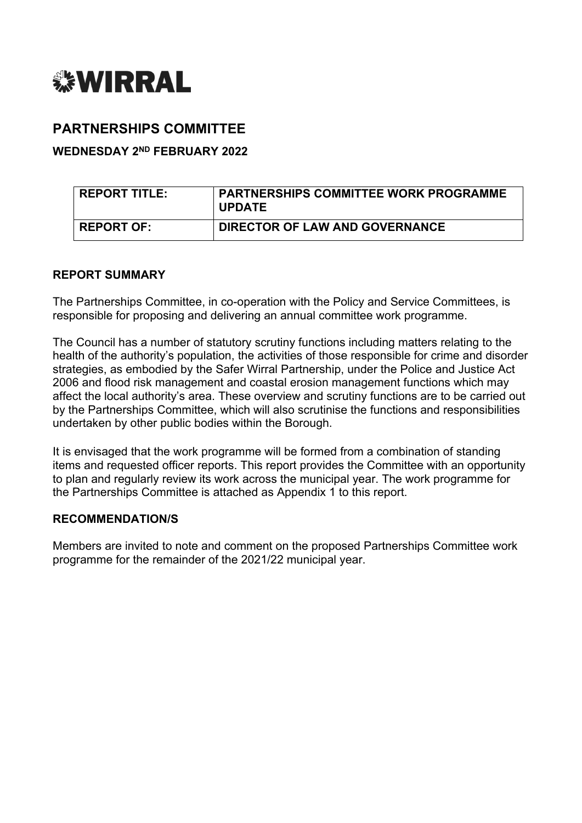

# **PARTNERSHIPS COMMITTEE**

### **WEDNESDAY 2 ND FEBRUARY 2022**

| REPORT TITLE:     | <b>PARTNERSHIPS COMMITTEE WORK PROGRAMME</b><br><b>UPDATE</b> |
|-------------------|---------------------------------------------------------------|
| <b>REPORT OF:</b> | <b>DIRECTOR OF LAW AND GOVERNANCE</b>                         |

### **REPORT SUMMARY**

The Partnerships Committee, in co-operation with the Policy and Service Committees, is responsible for proposing and delivering an annual committee work programme.

The Council has a number of statutory scrutiny functions including matters relating to the health of the authority's population, the activities of those responsible for crime and disorder strategies, as embodied by the Safer Wirral Partnership, under the Police and Justice Act 2006 and flood risk management and coastal erosion management functions which may affect the local authority's area. These overview and scrutiny functions are to be carried out by the Partnerships Committee, which will also scrutinise the functions and responsibilities undertaken by other public bodies within the Borough.

It is envisaged that the work programme will be formed from a combination of standing items and requested officer reports. This report provides the Committee with an opportunity to plan and regularly review its work across the municipal year. The work programme for the Partnerships Committee is attached as Appendix 1 to this report.

#### **RECOMMENDATION/S**

Members are invited to note and comment on the proposed Partnerships Committee work programme for the remainder of the 2021/22 municipal year.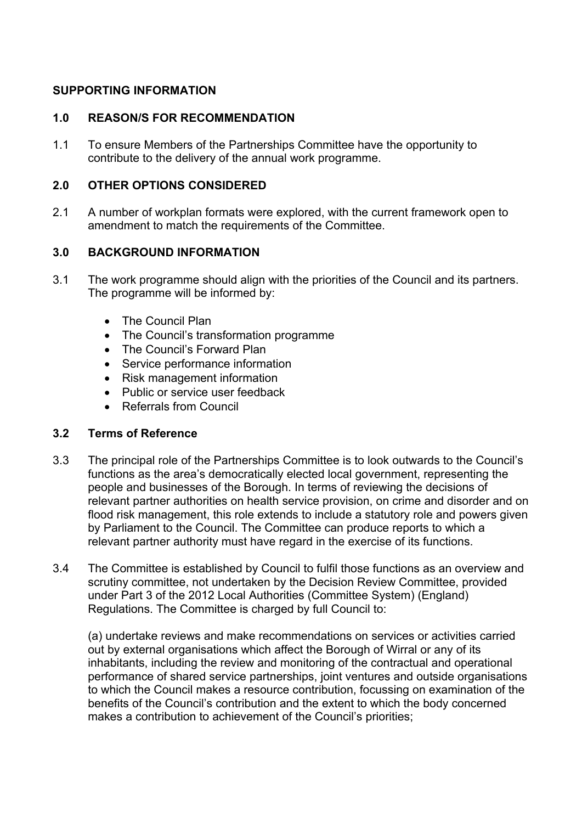### **SUPPORTING INFORMATION**

### **1.0 REASON/S FOR RECOMMENDATION**

1.1 To ensure Members of the Partnerships Committee have the opportunity to contribute to the delivery of the annual work programme.

### **2.0 OTHER OPTIONS CONSIDERED**

2.1 A number of workplan formats were explored, with the current framework open to amendment to match the requirements of the Committee.

### **3.0 BACKGROUND INFORMATION**

- 3.1 The work programme should align with the priorities of the Council and its partners. The programme will be informed by:
	- The Council Plan
	- The Council's transformation programme
	- The Council's Forward Plan
	- Service performance information
	- Risk management information
	- Public or service user feedback
	- Referrals from Council

### **3.2 Terms of Reference**

- 3.3 The principal role of the Partnerships Committee is to look outwards to the Council's functions as the area's democratically elected local government, representing the people and businesses of the Borough. In terms of reviewing the decisions of relevant partner authorities on health service provision, on crime and disorder and on flood risk management, this role extends to include a statutory role and powers given by Parliament to the Council. The Committee can produce reports to which a relevant partner authority must have regard in the exercise of its functions.
- 3.4 The Committee is established by Council to fulfil those functions as an overview and scrutiny committee, not undertaken by the Decision Review Committee, provided under Part 3 of the 2012 Local Authorities (Committee System) (England) Regulations. The Committee is charged by full Council to:

(a) undertake reviews and make recommendations on services or activities carried out by external organisations which affect the Borough of Wirral or any of its inhabitants, including the review and monitoring of the contractual and operational performance of shared service partnerships, joint ventures and outside organisations to which the Council makes a resource contribution, focussing on examination of the benefits of the Council's contribution and the extent to which the body concerned makes a contribution to achievement of the Council's priorities;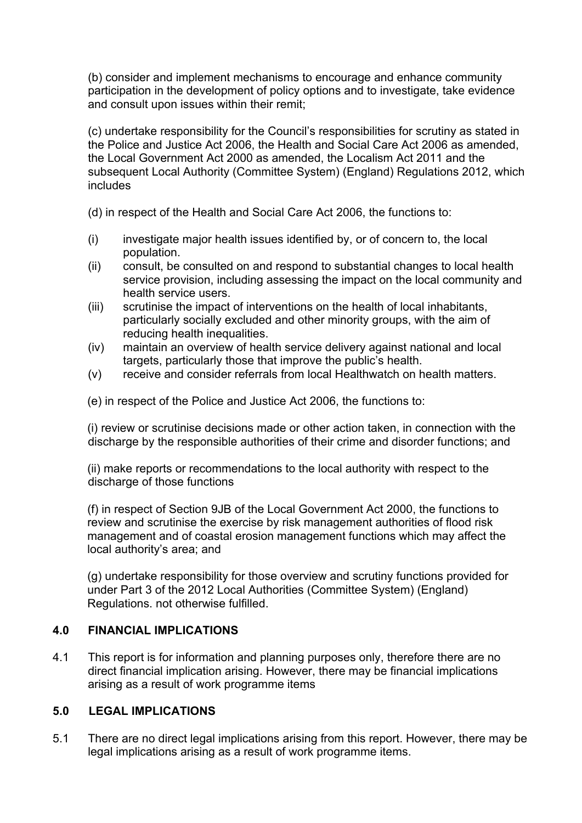(b) consider and implement mechanisms to encourage and enhance community participation in the development of policy options and to investigate, take evidence and consult upon issues within their remit;

(c) undertake responsibility for the Council's responsibilities for scrutiny as stated in the Police and Justice Act 2006, the Health and Social Care Act 2006 as amended, the Local Government Act 2000 as amended, the Localism Act 2011 and the subsequent Local Authority (Committee System) (England) Regulations 2012, which includes

(d) in respect of the Health and Social Care Act 2006, the functions to:

- (i) investigate major health issues identified by, or of concern to, the local population.
- (ii) consult, be consulted on and respond to substantial changes to local health service provision, including assessing the impact on the local community and health service users.
- (iii) scrutinise the impact of interventions on the health of local inhabitants, particularly socially excluded and other minority groups, with the aim of reducing health inequalities.
- (iv) maintain an overview of health service delivery against national and local targets, particularly those that improve the public's health.
- (v) receive and consider referrals from local Healthwatch on health matters.

(e) in respect of the Police and Justice Act 2006, the functions to:

(i) review or scrutinise decisions made or other action taken, in connection with the discharge by the responsible authorities of their crime and disorder functions; and

(ii) make reports or recommendations to the local authority with respect to the discharge of those functions

(f) in respect of Section 9JB of the Local Government Act 2000, the functions to review and scrutinise the exercise by risk management authorities of flood risk management and of coastal erosion management functions which may affect the local authority's area; and

(g) undertake responsibility for those overview and scrutiny functions provided for under Part 3 of the 2012 Local Authorities (Committee System) (England) Regulations. not otherwise fulfilled.

## **4.0 FINANCIAL IMPLICATIONS**

4.1 This report is for information and planning purposes only, therefore there are no direct financial implication arising. However, there may be financial implications arising as a result of work programme items

## **5.0 LEGAL IMPLICATIONS**

5.1 There are no direct legal implications arising from this report. However, there may be legal implications arising as a result of work programme items.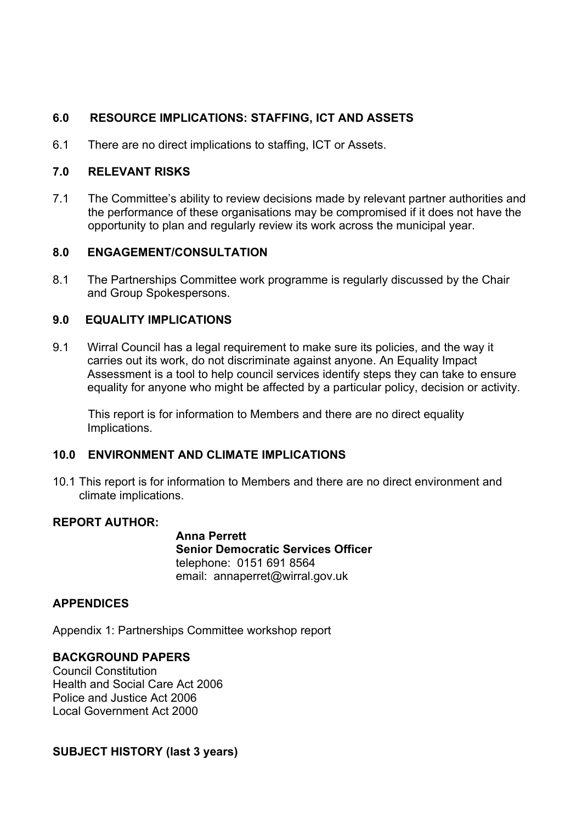# **6.0 RESOURCE IMPLICATIONS: STAFFING, ICT AND ASSETS**

6.1 There are no direct implications to staffing, ICT or Assets.

### **7.0 RELEVANT RISKS**

7.1 The Committee's ability to review decisions made by relevant partner authorities and the performance of these organisations may be compromised if it does not have the opportunity to plan and regularly review its work across the municipal year.

### **8.0 ENGAGEMENT/CONSULTATION**

8.1 The Partnerships Committee work programme is regularly discussed by the Chair and Group Spokespersons.

### **9.0 EQUALITY IMPLICATIONS**

9.1 Wirral Council has a legal requirement to make sure its policies, and the way it carries out its work, do not discriminate against anyone. An Equality Impact Assessment is a tool to help council services identify steps they can take to ensure equality for anyone who might be affected by a particular policy, decision or activity.

This report is for information to Members and there are no direct equality Implications.

### **10.0 ENVIRONMENT AND CLIMATE IMPLICATIONS**

10.1 This report is for information to Members and there are no direct environment and climate implications.

#### **REPORT AUTHOR:**

**Anna Perrett Senior Democratic Services Officer** telephone: 0151 691 8564 email: annaperret@wirral.gov.uk

### **APPENDICES**

Appendix 1: Partnerships Committee workshop report

### **BACKGROUND PAPERS**

Council Constitution Health and Social Care Act 2006 Police and Justice Act 2006 Local Government Act 2000

#### **SUBJECT HISTORY (last 3 years)**